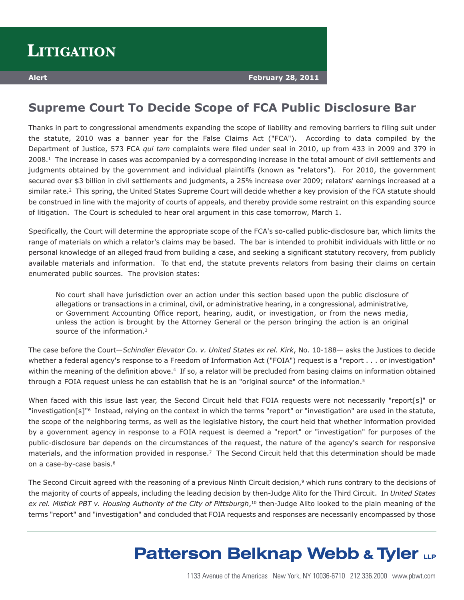## **Supreme Court To Decide Scope of FCA Public Disclosure Bar**

Thanks in part to congressional amendments expanding the scope of liability and removing barriers to filing suit under the statute, 2010 was a banner year for the False Claims Act ("FCA"). According to data compiled by the Department of Justice, 573 FCA *qui tam* complaints were filed under seal in 2010, up from 433 in 2009 and 379 in 2008.1 The increase in cases was accompanied by a corresponding increase in the total amount of civil settlements and judgments obtained by the government and individual plaintiffs (known as "relators"). For 2010, the government secured over \$3 billion in civil settlements and judgments, a 25% increase over 2009; relators' earnings increased at a similar rate.<sup>2</sup> This spring, the United States Supreme Court will decide whether a key provision of the FCA statute should be construed in line with the majority of courts of appeals, and thereby provide some restraint on this expanding source of litigation. The Court is scheduled to hear oral argument in this case tomorrow, March 1.

Specifically, the Court will determine the appropriate scope of the FCA's so-called public-disclosure bar, which limits the range of materials on which a relator's claims may be based. The bar is intended to prohibit individuals with little or no personal knowledge of an alleged fraud from building a case, and seeking a significant statutory recovery, from publicly available materials and information. To that end, the statute prevents relators from basing their claims on certain enumerated public sources. The provision states:

No court shall have jurisdiction over an action under this section based upon the public disclosure of allegations or transactions in a criminal, civil, or administrative hearing, in a congressional, administrative, or Government Accounting Office report, hearing, audit, or investigation, or from the news media, unless the action is brought by the Attorney General or the person bringing the action is an original source of the information.3

The case before the Court—*Schindler Elevator Co. v. United States ex rel. Kirk*, No. 10-188— asks the Justices to decide whether a federal agency's response to a Freedom of Information Act ("FOIA") request is a "report . . . or investigation" within the meaning of the definition above.<sup>4</sup> If so, a relator will be precluded from basing claims on information obtained through a FOIA request unless he can establish that he is an "original source" of the information.<sup>5</sup>

When faced with this issue last year, the Second Circuit held that FOIA requests were not necessarily "report[s]" or "investigation[s]"6 Instead, relying on the context in which the terms "report" or "investigation" are used in the statute, the scope of the neighboring terms, as well as the legislative history, the court held that whether information provided by a government agency in response to a FOIA request is deemed a "report" or "investigation" for purposes of the public-disclosure bar depends on the circumstances of the request, the nature of the agency's search for responsive materials, and the information provided in response.<sup>7</sup> The Second Circuit held that this determination should be made on a case-by-case basis.8

The Second Circuit agreed with the reasoning of a previous Ninth Circuit decision,<sup>9</sup> which runs contrary to the decisions of the majority of courts of appeals, including the leading decision by then-Judge Alito for the Third Circuit. In *United States ex rel. Mistick PBT v. Housing Authority of the City of Pittsburgh*,10 then-Judge Alito looked to the plain meaning of the terms "report" and "investigation" and concluded that FOIA requests and responses are necessarily encompassed by those

## **Patterson Belknap Webb & Tyler LLP**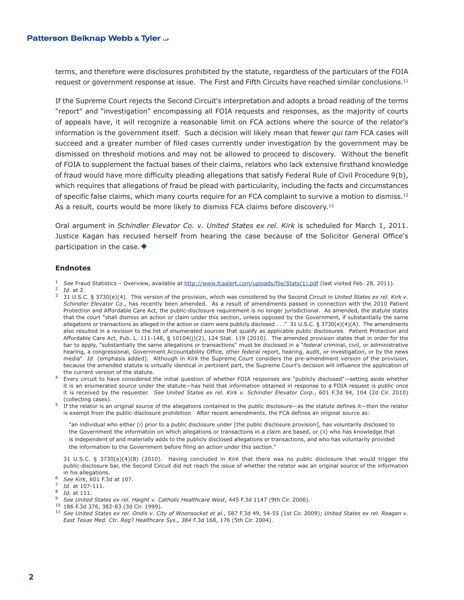terms, and therefore were disclosures prohibited by the statute, regardless of the particulars of the FOIA request or government response at issue. The First and Fifth Circuits have reached similar conclusions.11

If the Supreme Court rejects the Second Circuit's interpretation and adopts a broad reading of the terms "report" and "investigation" encompassing all FOIA requests and responses, as the majority of courts of appeals have, it will recognize a reasonable limit on FCA actions where the source of the relator's information is the government itself. Such a decision will likely mean that fewer *qui tam* FCA cases will succeed and a greater number of filed cases currently under investigation by the government may be dismissed on threshold motions and may not be allowed to proceed to discovery. Without the benefit of FOIA to supplement the factual bases of their claims, relators who lack extensive firsthand knowledge of fraud would have more difficulty pleading allegations that satisfy Federal Rule of Civil Procedure 9(b), which requires that allegations of fraud be plead with particularity, including the facts and circumstances of specific false claims, which many courts require for an FCA complaint to survive a motion to dismiss.<sup>12</sup> As a result, courts would be more likely to dismiss FCA claims before discovery.<sup>13</sup>

Oral argument in *Schindler Elevator Co. v. United States ex rel. Kirk* is scheduled for March 1, 2011. Justice Kagan has recused herself from hearing the case because of the Solicitor General Office's participation in the case.  $\blacklozenge$ 

## **Endnotes**

<sup>1</sup> *See* Fraud Statistics – Overview, available at http://www.fcaalert.com/uploads/file/Stats(1).pdf (last visited Feb. 28, 2011).

<sup>2</sup> *Id.* at 2.

- <sup>3</sup> 31 U.S.C. § 3730(e)(4). This version of the provision, which was considered by the Second Circuit in *United States ex rel. Kirk v. Schindler Elevator Co.*, has recently been amended. As a result of amendments passed in connection with the 2010 Patient Protection and Affordable Care Act, the public-disclosure requirement is no longer jurisdictional. As amended, the statute states that the court "shall dismiss an action or claim under this section, unless opposed by the Government, if substantially the same allegations or transactions as alleged in the action or claim were publicly disclosed . . ." 31 U.S.C. § 3730(e)(4)(A). The amendments also resulted in a revision to the list of enumerated sources that qualify as applicable public disclosures. Patient Protection and Affordable Care Act, Pub. L. 111-148, § 10104(j)(2), 124 Stat. 119 (2010). The amended provision states that in order for the bar to apply, "substantially the same allegations or transactions" must be disclosed in a "*federal* criminal, civil, or administrative hearing, a congressional, Government Accountability Office, other *federal* report, hearing, audit, or investigation, or by the news media" *Id*. (emphasis added). Although in *Kirk* the Supreme Court considers the pre-amendment version of the provision, because the amended statute is virtually identical in pertinent part, the Supreme Court's decision will influence the application of the current version of the statute.
- <sup>4</sup> Every circuit to have considered the initial question of whether FOIA responses are "publicly disclosed"—setting aside whether it is an enumerated source under the statute—has held that information obtained in response to a FOIA request is public once it is received by the requester. *See United States ex rel. Kirk v. Schindler Elevator Corp.*, 601 F.3d 94, 104 (2d Cir. 2010) (collecting cases).
- $5$  If the relator is an original source of the allegations contained in the public disclosure—as the statute defines it—then the relator is exempt from the public-disclosure prohibition. After recent amendments, the FCA defines an original source as:

"an individual who either (i) prior to a public disclosure under [the public disclosure provision], has voluntarily disclosed to the Government the information on which allegations or transactions in a claim are based, or (ii) who has knowledge that is independent of and materially adds to the publicly disclosed allegations or transactions, and who has voluntarily provided the information to the Government before filing an action under this section."

31 U.S.C. § 3730(e)(4)(B) (2010). Having concluded in *Kirk* that there was no public disclosure that would trigger the public-disclosure bar, the Second Circuit did not reach the issue of whether the relator was an original source of the information in his allegations.

- <sup>6</sup> *See Kirk*, 601 F.3d at 107.
- <sup>7</sup> *Id*. at 107-111.
- <sup>8</sup> *Id*. at 111.
- <sup>9</sup> *See United States ex rel. Haight v. Catholic Healthcare West*, 445 F.3d 1147 (9th Cir. 2006).
- <sup>10</sup> 186 F.3d 376, 382-83 (3d Cir. 1999).
- <sup>11</sup> See United States ex rel. Ondis v. City of Woonsocket et al., 587 F.3d 49, 54-55 (1st Cir. 2009); United States ex rel. Reagan v. *East Texas Med. Ctr. Reg'l Healthcare Sys., 384* F.3d 168, 176 (5th Cir. 2004).